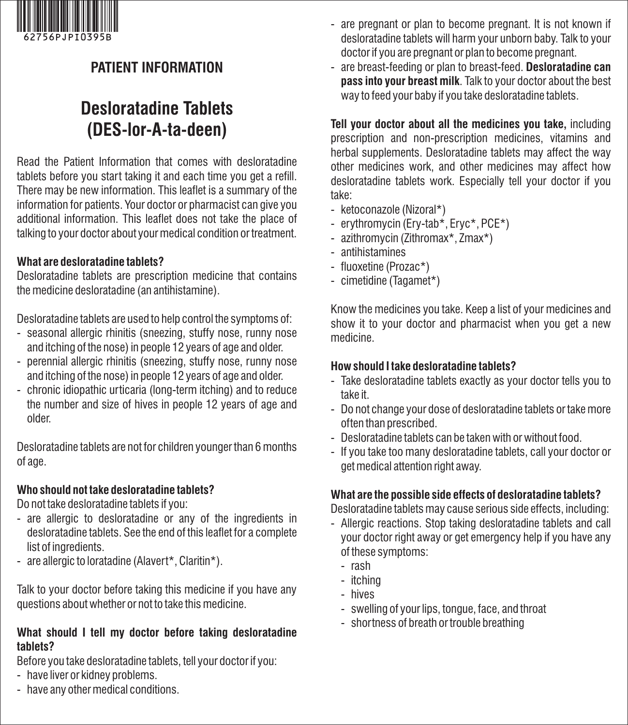

## **PATIENT INFORMATION**

# **Desloratadine Tablets (DES-lor-A-ta-deen)**

Read the Patient Information that comes with desloratadine tablets before you start taking it and each time you get a refill. There may be new information. This leaflet is a summary of the information for patients. Your doctor or pharmacist can give you additional information. This leaflet does not take the place of talking to your doctor about your medical condition or treatment.

#### **What are desloratadine tablets?**

Desloratadine tablets are prescription medicine that contains the medicine desloratadine (an antihistamine).

Desloratadine tablets are used to help control the symptoms of:

- seasonal allergic rhinitis (sneezing, stuffy nose, runny nose and itching of the nose) in people 12 years of age and older.
- perennial allergic rhinitis (sneezing, stuffy nose, runny nose and itching of the nose) in people 12 years of age and older.
- chronic idiopathic urticaria (long-term itching) and to reduce the number and size of hives in people 12 years of age and older.

Desloratadine tablets are not for children younger than 6 months of age.

#### **Who should not take desloratadine tablets?**

Do not take desloratadine tablets if you:

- are allergic to desloratadine or any of the ingredients in desloratadine tablets. See the end of this leaflet for a complete list of ingredients.
- are allergic to loratadine (Alavert\*, Claritin\*).

Talk to your doctor before taking this medicine if you have any questions about whether or not to take this medicine.

#### **What should I tell my doctor before taking desloratadine tablets?**

Before you take desloratadine tablets, tell your doctor if you:

- have liver or kidney problems.
- have any other medical conditions.
- are pregnant or plan to become pregnant. It is not known if desloratadine tablets will harm your unborn baby. Talk to your doctor if you are pregnant or plan to become pregnant.
- are breast-feeding or plan to breast-feed. **Desloratadine can pass into your breast milk**. Talk to your doctor about the best way to feed your baby if you take desloratadine tablets.

**Tell your doctor about all the medicines you take,** including prescription and non-prescription medicines, vitamins and herbal supplements. Desloratadine tablets may affect the way other medicines work, and other medicines may affect how desloratadine tablets work. Especially tell your doctor if you take:

- ketoconazole (Nizoral\*)
- erythromycin (Ery-tab\*, Eryc\*, PCE\*)
- azithromycin (Zithromax\*, Zmax\*)
- antihistamines
- fluoxetine (Prozac\*)
- cimetidine (Tagamet\*)

Know the medicines you take. Keep a list of your medicines and show it to your doctor and pharmacist when you get a new medicine.

#### **How should I take desloratadine tablets?**

- Take desloratadine tablets exactly as your doctor tells you to take it.
- Do not change your dose of desloratadine tablets or take more often than prescribed.
- Desloratadine tablets can be taken with or without food.
- If you take too many desloratadine tablets, call your doctor or get medical attention right away.

#### **What are the possible side effects of desloratadine tablets?**

Desloratadine tablets may cause serious side effects, including:

- Allergic reactions. Stop taking desloratadine tablets and call your doctor right away or get emergency help if you have any of these symptoms:
	- rash
	- itching
	- hives
	- swelling of your lips, tongue, face, and throat
	- shortness of breath or trouble breathing